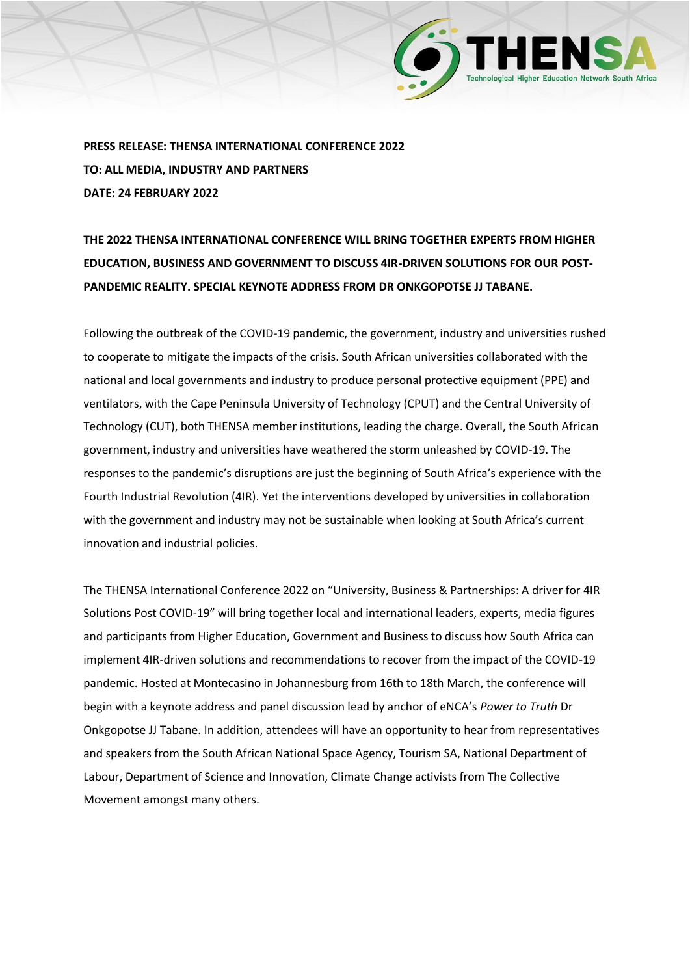

**PRESS RELEASE: THENSA INTERNATIONAL CONFERENCE 2022 TO: ALL MEDIA, INDUSTRY AND PARTNERS DATE: 24 FEBRUARY 2022**

**THE 2022 THENSA INTERNATIONAL CONFERENCE WILL BRING TOGETHER EXPERTS FROM HIGHER EDUCATION, BUSINESS AND GOVERNMENT TO DISCUSS 4IR-DRIVEN SOLUTIONS FOR OUR POST-PANDEMIC REALITY. SPECIAL KEYNOTE ADDRESS FROM DR ONKGOPOTSE JJ TABANE.**

Following the outbreak of the COVID-19 pandemic, the government, industry and universities rushed to cooperate to mitigate the impacts of the crisis. South African universities collaborated with the national and local governments and industry to produce personal protective equipment (PPE) and ventilators, with the Cape Peninsula University of Technology (CPUT) and the Central University of Technology (CUT), both THENSA member institutions, leading the charge. Overall, the South African government, industry and universities have weathered the storm unleashed by COVID-19. The responses to the pandemic's disruptions are just the beginning of South Africa's experience with the Fourth Industrial Revolution (4IR). Yet the interventions developed by universities in collaboration with the government and industry may not be sustainable when looking at South Africa's current innovation and industrial policies.

The THENSA International Conference 2022 on "University, Business & Partnerships: A driver for 4IR Solutions Post COVID-19" will bring together local and international leaders, experts, media figures and participants from Higher Education, Government and Business to discuss how South Africa can implement 4IR-driven solutions and recommendations to recover from the impact of the COVID-19 pandemic. Hosted at Montecasino in Johannesburg from 16th to 18th March, the conference will begin with a keynote address and panel discussion lead by anchor of eNCA's *Power to Truth* Dr Onkgopotse JJ Tabane. In addition, attendees will have an opportunity to hear from representatives and speakers from the South African National Space Agency, Tourism SA, National Department of Labour, Department of Science and Innovation, Climate Change activists from The Collective Movement amongst many others.